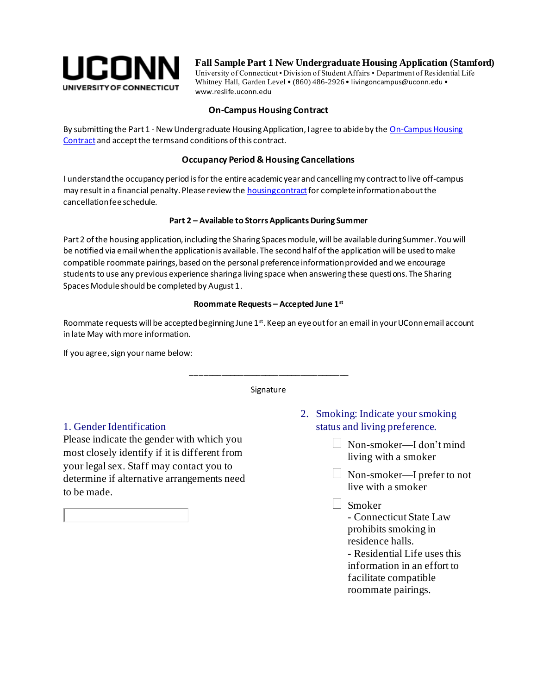

**Fall Sample Part 1 New Undergraduate Housing Application (Stamford)**

University of Connecticut • Division of Student Affairs • Department of Residential Life Whitney Hall, Garden Level • (860) 486-2926 • livingoncampus@uconn.edu • www.reslife.uconn.edu

## **On-Campus Housing Contract**

By submitting the Part 1 - New Undergraduate Housing Application, I agree to abide by the On-Campus Housing [Contract](http://www.reslife.uconn.edu/housing-contract-forms/) and accept the terms and conditions of this contract.

### **Occupancy Period & Housing Cancellations**

I understand the occupancy period is for the entire academic year and cancelling my contract to live off-campus may result in a financial penalty. Please review th[e housing contract](http://www.reslife.uconn.edu/housing-contract-forms/) for complete information about the cancellation fee schedule.

#### **Part 2 – Available to Storrs Applicants During Summer**

Part 2 of the housing application, including the Sharing Spaces module, will be available during Summer. You will be notified via email when the application is available. The second half of the application will be used to make compatible roommate pairings, based on the personal preference information provided and we encourage students to use any previous experience sharing a living space when answering these questions. The Sharing Spaces Module should be completed by August 1.

#### **Roommate Requests – Accepted June 1st**

Roommate requests will be accepted beginning June  $1<sup>st</sup>$ . Keep an eye out for an email in your UConn email account in late May with more information.

If you agree, sign your name below:

# \_\_\_\_\_\_\_\_\_\_\_\_\_\_\_\_\_\_\_\_\_\_\_\_\_\_\_\_\_\_\_\_\_\_\_\_ Signature

## 1. Gender Identification

Please indicate the gender with which you most closely identify if it is different from your legal sex. Staff may contact you to determine if alternative arrangements need to be made.

- 2. Smoking: Indicate your smoking status and living preference.
	- $\Box$  Non-smoker—I don't mind living with a smoker
	- $\Box$  Non-smoker—I prefer to not live with a smoker
	- Smoker

- Connecticut State Law prohibits smoking in residence halls.

- Residential Life uses this information in an effort to facilitate compatible roommate pairings.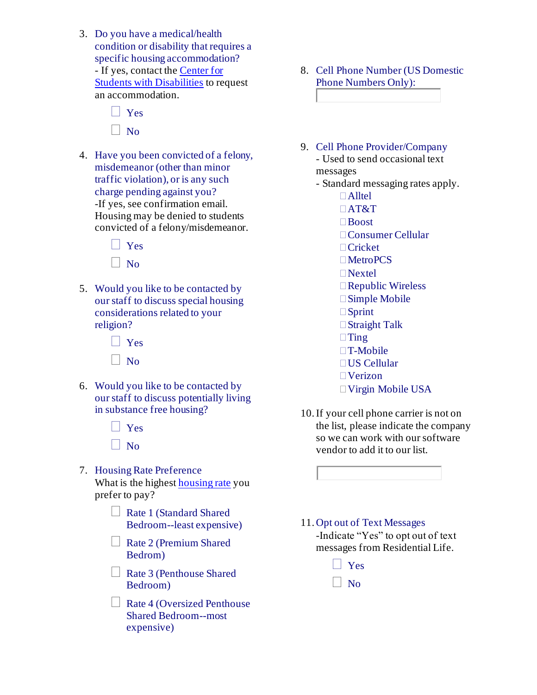- 3. Do you have a medical/health condition or disability that requires a specific housing accommodation? - If yes, contact th[e Center for](http://csd.uconn.edu/)  [Students with Disabilities](http://csd.uconn.edu/) to request an accommodation.
	- **N** Yes  $\Box$  No
- 4. Have you been convicted of a felony, misdemeanor (other than minor traffic violation), or is any such charge pending against you? -If yes, see confirmation email. Housing may be denied to students convicted of a felony/misdemeanor.
	- Yes  $\vert$  No
- 5. Would you like to be contacted by our staff to discuss special housing considerations related to your religion?
	- $\Box$  Yes  $\Box$  No
- 6. Would you like to be contacted by our staff to discuss potentially living in substance free housing?
	- Yes  $\Box$  No
- 7. Housing Rate Preference What is the highest [housing rate](http://reslife.uconn.edu/room-rates/) you prefer to pay?
	- Rate 1 (Standard Shared Bedroom--least expensive)
	- $\Box$  Rate 2 (Premium Shared Bedrom)
	- $\Box$  Rate 3 (Penthouse Shared Bedroom)
	- Rate 4 (Oversized Penthouse Shared Bedroom--most expensive)
- 8. Cell Phone Number (US Domestic Phone Numbers Only):
- 9. Cell Phone Provider/Company - Used to send occasional text messages - Standard messaging rates apply. Alltel AT&T Boost Consumer Cellular □ Cricket MetroPCS  $\Box$ Nextel Republic Wireless Simple Mobile □ Sprint □ Straight Talk  $\Box$ Ting □T-Mobile US Cellular Verizon Virgin Mobile USA
- 10.If your cell phone carrier is not on the list, please indicate the company so we can work with our software vendor to add it to our list.
- 11. Opt out of Text Messages -Indicate "Yes" to opt out of text messages from Residential Life.
	- **N** Yes
	- $\vert$  No